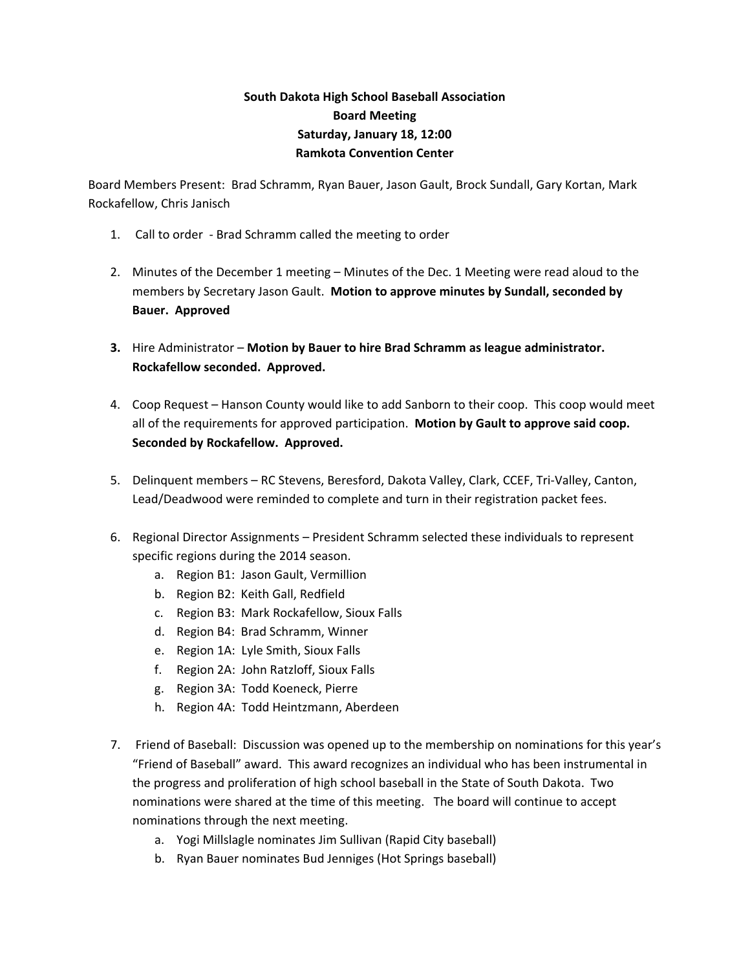## **South Dakota High School Baseball Association Board Meeting Saturday, January 18, 12:00 Ramkota Convention Center**

Board Members Present: Brad Schramm, Ryan Bauer, Jason Gault, Brock Sundall, Gary Kortan, Mark Rockafellow, Chris Janisch

- 1. Call to order Brad Schramm called the meeting to order
- 2. Minutes of the December 1 meeting Minutes of the Dec. 1 Meeting were read aloud to the members by Secretary Jason Gault. **Motion to approve minutes by Sundall, seconded by Bauer. Approved**
- **3.** Hire Administrator **Motion by Bauer to hire Brad Schramm as league administrator. Rockafellow seconded. Approved.**
- 4. Coop Request Hanson County would like to add Sanborn to their coop. This coop would meet all of the requirements for approved participation. **Motion by Gault to approve said coop. Seconded by Rockafellow. Approved.**
- 5. Delinquent members RC Stevens, Beresford, Dakota Valley, Clark, CCEF, Tri-Valley, Canton, Lead/Deadwood were reminded to complete and turn in their registration packet fees.
- 6. Regional Director Assignments President Schramm selected these individuals to represent specific regions during the 2014 season.
	- a. Region B1: Jason Gault, Vermillion
	- b. Region B2: Keith Gall, Redfield
	- c. Region B3: Mark Rockafellow, Sioux Falls
	- d. Region B4: Brad Schramm, Winner
	- e. Region 1A: Lyle Smith, Sioux Falls
	- f. Region 2A: John Ratzloff, Sioux Falls
	- g. Region 3A: Todd Koeneck, Pierre
	- h. Region 4A: Todd Heintzmann, Aberdeen
- 7. Friend of Baseball: Discussion was opened up to the membership on nominations for this year's "Friend of Baseball" award. This award recognizes an individual who has been instrumental in the progress and proliferation of high school baseball in the State of South Dakota. Two nominations were shared at the time of this meeting. The board will continue to accept nominations through the next meeting.
	- a. Yogi Millslagle nominates Jim Sullivan (Rapid City baseball)
	- b. Ryan Bauer nominates Bud Jenniges (Hot Springs baseball)